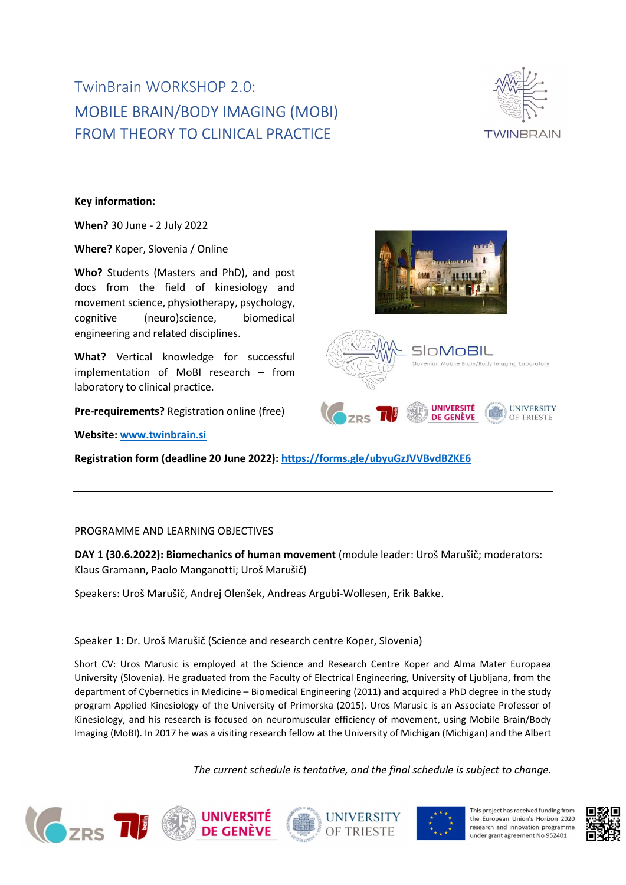# TwinBrain WORKSHOP 2.0: MOBILE BRAIN/BODY IMAGING (MOBI) FROM THEORY TO CLINICAL PRACTICE



Key information:

When? 30 June - 2 July 2022

Where? Koper, Slovenia / Online

Who? Students (Masters and PhD), and post docs from the field of kinesiology and movement science, physiotherapy, psychology, cognitive (neuro)science, biomedical engineering and related disciplines.

What? Vertical knowledge for successful implementation of MoBI research – from laboratory to clinical practice.

Pre-requirements? Registration online (free)

Website: www.twinbrain.si

Registration form (deadline 20 June 2022): https://forms.gle/ubyuGzJVVBvdBZKE6

## PROGRAMME AND LEARNING OBJECTIVES

DAY 1 (30.6.2022): Biomechanics of human movement (module leader: Uroš Marušič; moderators: Klaus Gramann, Paolo Manganotti; Uroš Marušič)

Speakers: Uroš Marušič, Andrej Olenšek, Andreas Argubi-Wollesen, Erik Bakke.

Speaker 1: Dr. Uroš Marušič (Science and research centre Koper, Slovenia)

Short CV: Uros Marusic is employed at the Science and Research Centre Koper and Alma Mater Europaea University (Slovenia). He graduated from the Faculty of Electrical Engineering, University of Ljubljana, from the department of Cybernetics in Medicine – Biomedical Engineering (2011) and acquired a PhD degree in the study program Applied Kinesiology of the University of Primorska (2015). Uros Marusic is an Associate Professor of Kinesiology, and his research is focused on neuromuscular efficiency of movement, using Mobile Brain/Body Imaging (MoBI). In 2017 he was a visiting research fellow at the University of Michigan (Michigan) and the Albert

The current schedule is tentative, and the final schedule is subject to change.

**UNIVERSITY** 

OF TRIESTE









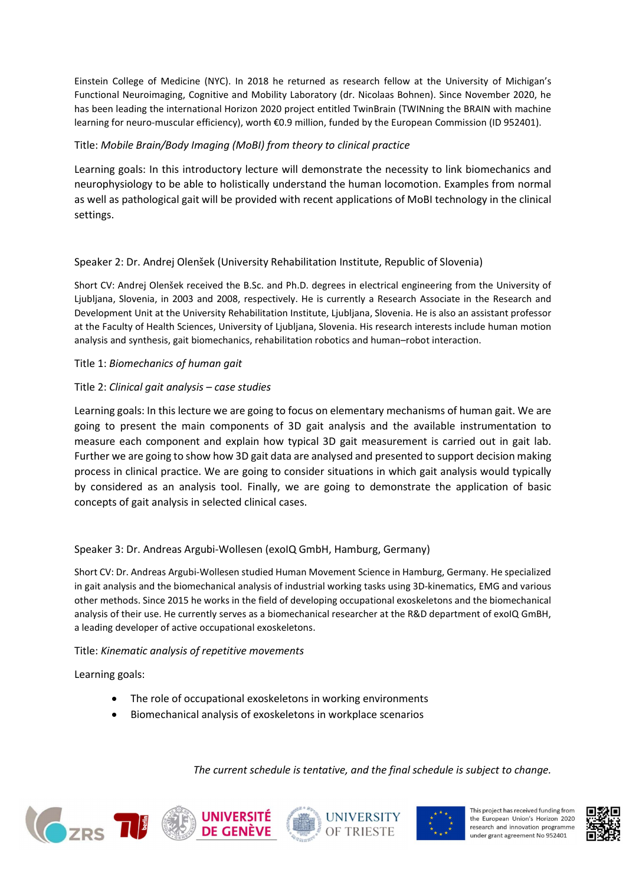Einstein College of Medicine (NYC). In 2018 he returned as research fellow at the University of Michigan's Functional Neuroimaging, Cognitive and Mobility Laboratory (dr. Nicolaas Bohnen). Since November 2020, he has been leading the international Horizon 2020 project entitled TwinBrain (TWINning the BRAIN with machine learning for neuro-muscular efficiency), worth €0.9 million, funded by the European Commission (ID 952401).

# Title: Mobile Brain/Body Imaging (MoBI) from theory to clinical practice

Learning goals: In this introductory lecture will demonstrate the necessity to link biomechanics and neurophysiology to be able to holistically understand the human locomotion. Examples from normal as well as pathological gait will be provided with recent applications of MoBI technology in the clinical settings.

# Speaker 2: Dr. Andrej Olenšek (University Rehabilitation Institute, Republic of Slovenia)

Short CV: Andrej Olenšek received the B.Sc. and Ph.D. degrees in electrical engineering from the University of Ljubljana, Slovenia, in 2003 and 2008, respectively. He is currently a Research Associate in the Research and Development Unit at the University Rehabilitation Institute, Ljubljana, Slovenia. He is also an assistant professor at the Faculty of Health Sciences, University of Ljubljana, Slovenia. His research interests include human motion analysis and synthesis, gait biomechanics, rehabilitation robotics and human–robot interaction.

# Title 1: Biomechanics of human gait

# Title 2: Clinical gait analysis – case studies

Learning goals: In this lecture we are going to focus on elementary mechanisms of human gait. We are going to present the main components of 3D gait analysis and the available instrumentation to measure each component and explain how typical 3D gait measurement is carried out in gait lab. Further we are going to show how 3D gait data are analysed and presented to support decision making process in clinical practice. We are going to consider situations in which gait analysis would typically by considered as an analysis tool. Finally, we are going to demonstrate the application of basic concepts of gait analysis in selected clinical cases.

## Speaker 3: Dr. Andreas Argubi-Wollesen (exoIQ GmbH, Hamburg, Germany)

Short CV: Dr. Andreas Argubi-Wollesen studied Human Movement Science in Hamburg, Germany. He specialized in gait analysis and the biomechanical analysis of industrial working tasks using 3D-kinematics, EMG and various other methods. Since 2015 he works in the field of developing occupational exoskeletons and the biomechanical analysis of their use. He currently serves as a biomechanical researcher at the R&D department of exoIQ GmBH, a leading developer of active occupational exoskeletons.

## Title: Kinematic analysis of repetitive movements

Learning goals:

- The role of occupational exoskeletons in working environments
- Biomechanical analysis of exoskeletons in workplace scenarios









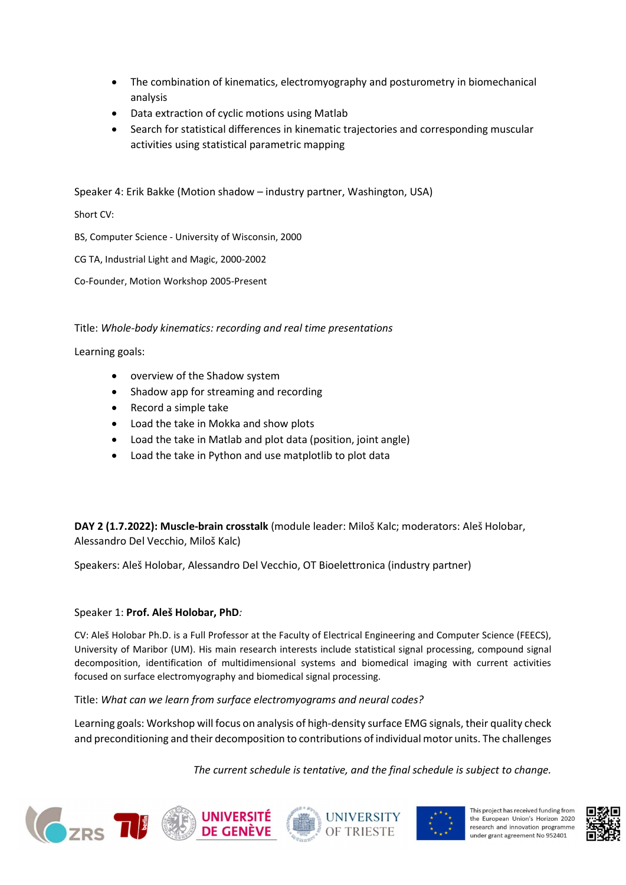- The combination of kinematics, electromyography and posturometry in biomechanical analysis
- Data extraction of cyclic motions using Matlab
- Search for statistical differences in kinematic trajectories and corresponding muscular activities using statistical parametric mapping

Speaker 4: Erik Bakke (Motion shadow – industry partner, Washington, USA)

Short CV:

BS, Computer Science - University of Wisconsin, 2000

CG TA, Industrial Light and Magic, 2000-2002

Co-Founder, Motion Workshop 2005-Present

# Title: Whole-body kinematics: recording and real time presentations

Learning goals:

- overview of the Shadow system
- Shadow app for streaming and recording
- Record a simple take
- Load the take in Mokka and show plots
- Load the take in Matlab and plot data (position, joint angle)
- Load the take in Python and use matplotlib to plot data

DAY 2 (1.7.2022): Muscle-brain crosstalk (module leader: Miloš Kalc; moderators: Aleš Holobar, Alessandro Del Vecchio, Miloš Kalc)

Speakers: Aleš Holobar, Alessandro Del Vecchio, OT Bioelettronica (industry partner)

# Speaker 1: Prof. Aleš Holobar, PhD:

CV: Aleš Holobar Ph.D. is a Full Professor at the Faculty of Electrical Engineering and Computer Science (FEECS), University of Maribor (UM). His main research interests include statistical signal processing, compound signal decomposition, identification of multidimensional systems and biomedical imaging with current activities focused on surface electromyography and biomedical signal processing.

Title: What can we learn from surface electromyograms and neural codes?

Learning goals: Workshop will focus on analysis of high-density surface EMG signals, their quality check and preconditioning and their decomposition to contributions of individual motor units. The challenges









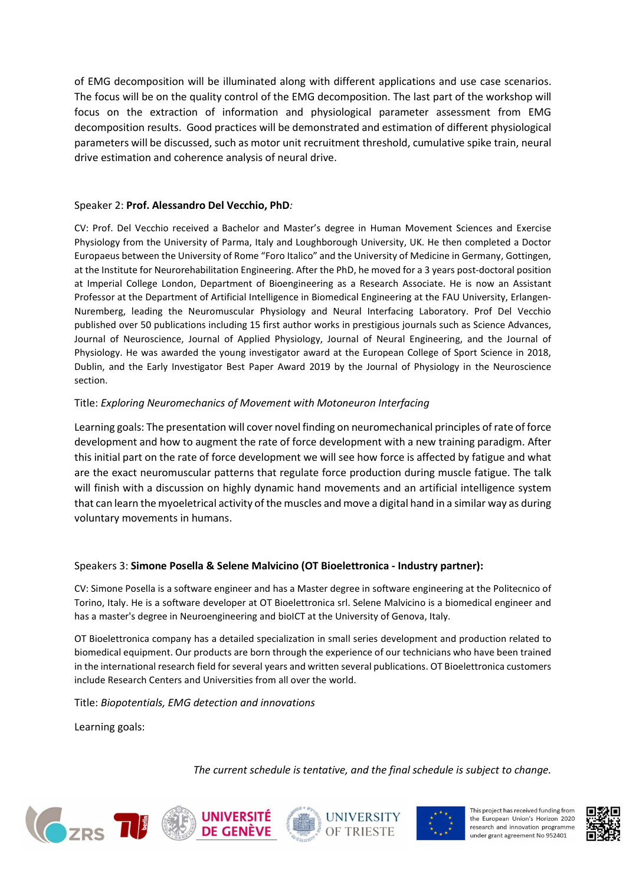of EMG decomposition will be illuminated along with different applications and use case scenarios. The focus will be on the quality control of the EMG decomposition. The last part of the workshop will focus on the extraction of information and physiological parameter assessment from EMG decomposition results. Good practices will be demonstrated and estimation of different physiological parameters will be discussed, such as motor unit recruitment threshold, cumulative spike train, neural drive estimation and coherence analysis of neural drive.

## Speaker 2: Prof. Alessandro Del Vecchio, PhD:

CV: Prof. Del Vecchio received a Bachelor and Master's degree in Human Movement Sciences and Exercise Physiology from the University of Parma, Italy and Loughborough University, UK. He then completed a Doctor Europaeus between the University of Rome "Foro Italico" and the University of Medicine in Germany, Gottingen, at the Institute for Neurorehabilitation Engineering. After the PhD, he moved for a 3 years post-doctoral position at Imperial College London, Department of Bioengineering as a Research Associate. He is now an Assistant Professor at the Department of Artificial Intelligence in Biomedical Engineering at the FAU University, Erlangen-Nuremberg, leading the Neuromuscular Physiology and Neural Interfacing Laboratory. Prof Del Vecchio published over 50 publications including 15 first author works in prestigious journals such as Science Advances, Journal of Neuroscience, Journal of Applied Physiology, Journal of Neural Engineering, and the Journal of Physiology. He was awarded the young investigator award at the European College of Sport Science in 2018, Dublin, and the Early Investigator Best Paper Award 2019 by the Journal of Physiology in the Neuroscience section.

#### Title: Exploring Neuromechanics of Movement with Motoneuron Interfacing

Learning goals: The presentation will cover novel finding on neuromechanical principles of rate of force development and how to augment the rate of force development with a new training paradigm. After this initial part on the rate of force development we will see how force is affected by fatigue and what are the exact neuromuscular patterns that regulate force production during muscle fatigue. The talk will finish with a discussion on highly dynamic hand movements and an artificial intelligence system that can learn the myoeletrical activity of the muscles and move a digital hand in a similar way as during voluntary movements in humans.

## Speakers 3: Simone Posella & Selene Malvicino (OT Bioelettronica - Industry partner):

CV: Simone Posella is a software engineer and has a Master degree in software engineering at the Politecnico of Torino, Italy. He is a software developer at OT Bioelettronica srl. Selene Malvicino is a biomedical engineer and has a master's degree in Neuroengineering and bioICT at the University of Genova, Italy.

OT Bioelettronica company has a detailed specialization in small series development and production related to biomedical equipment. Our products are born through the experience of our technicians who have been trained in the international research field for several years and written several publications. OT Bioelettronica customers include Research Centers and Universities from all over the world.

Title: Biopotentials, EMG detection and innovations

Learning goals:









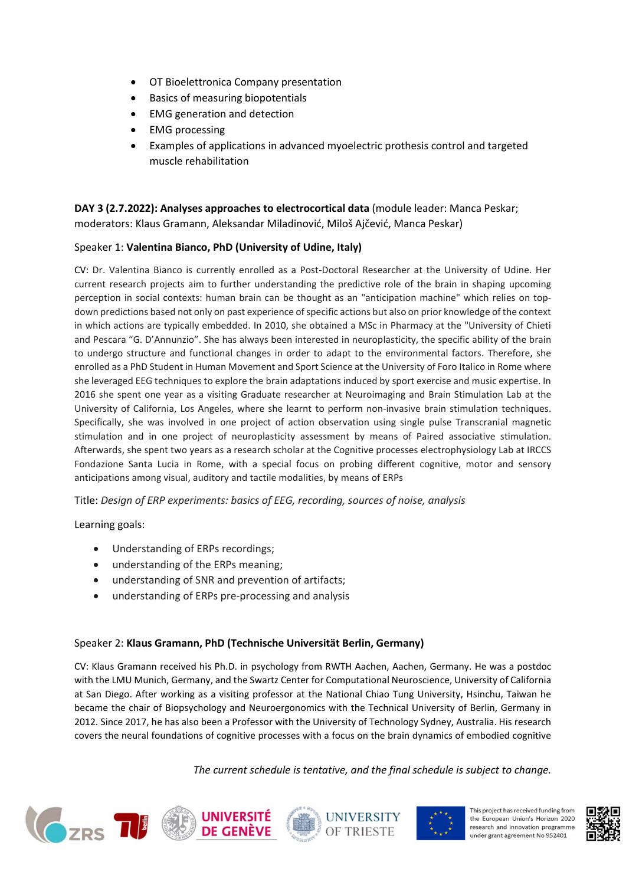- OT Bioelettronica Company presentation
- Basics of measuring biopotentials
- EMG generation and detection
- EMG processing
- Examples of applications in advanced myoelectric prothesis control and targeted muscle rehabilitation

DAY 3 (2.7.2022): Analyses approaches to electrocortical data (module leader: Manca Peskar; moderators: Klaus Gramann, Aleksandar Miladinović, Miloš Ajčević, Manca Peskar)

## Speaker 1: Valentina Bianco, PhD (University of Udine, Italy)

CV: Dr. Valentina Bianco is currently enrolled as a Post-Doctoral Researcher at the University of Udine. Her current research projects aim to further understanding the predictive role of the brain in shaping upcoming perception in social contexts: human brain can be thought as an "anticipation machine" which relies on topdown predictions based not only on past experience of specific actions but also on prior knowledge of the context in which actions are typically embedded. In 2010, she obtained a MSc in Pharmacy at the "University of Chieti and Pescara "G. D'Annunzio". She has always been interested in neuroplasticity, the specific ability of the brain to undergo structure and functional changes in order to adapt to the environmental factors. Therefore, she enrolled as a PhD Student in Human Movement and Sport Science at the University of Foro Italico in Rome where she leveraged EEG techniques to explore the brain adaptations induced by sport exercise and music expertise. In 2016 she spent one year as a visiting Graduate researcher at Neuroimaging and Brain Stimulation Lab at the University of California, Los Angeles, where she learnt to perform non-invasive brain stimulation techniques. Specifically, she was involved in one project of action observation using single pulse Transcranial magnetic stimulation and in one project of neuroplasticity assessment by means of Paired associative stimulation. Afterwards, she spent two years as a research scholar at the Cognitive processes electrophysiology Lab at IRCCS Fondazione Santa Lucia in Rome, with a special focus on probing different cognitive, motor and sensory anticipations among visual, auditory and tactile modalities, by means of ERPs

Title: Design of ERP experiments: basics of EEG, recording, sources of noise, analysis

Learning goals:

- Understanding of ERPs recordings;
- understanding of the ERPs meaning;
- understanding of SNR and prevention of artifacts;
- understanding of ERPs pre-processing and analysis

## Speaker 2: Klaus Gramann, PhD (Technische Universität Berlin, Germany)

CV: Klaus Gramann received his Ph.D. in psychology from RWTH Aachen, Aachen, Germany. He was a postdoc with the LMU Munich, Germany, and the Swartz Center for Computational Neuroscience, University of California at San Diego. After working as a visiting professor at the National Chiao Tung University, Hsinchu, Taiwan he became the chair of Biopsychology and Neuroergonomics with the Technical University of Berlin, Germany in 2012. Since 2017, he has also been a Professor with the University of Technology Sydney, Australia. His research covers the neural foundations of cognitive processes with a focus on the brain dynamics of embodied cognitive









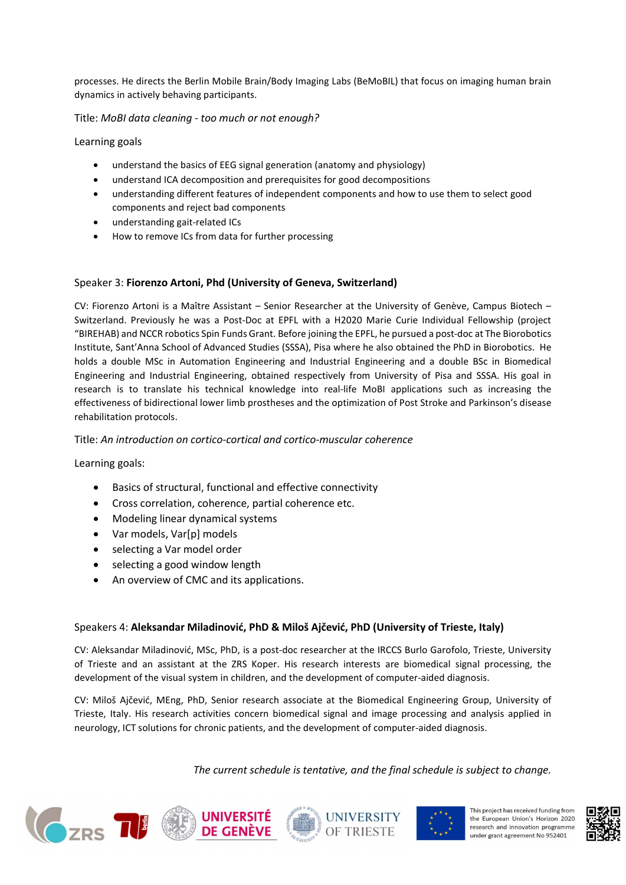processes. He directs the Berlin Mobile Brain/Body Imaging Labs (BeMoBIL) that focus on imaging human brain dynamics in actively behaving participants.

Title: MoBI data cleaning - too much or not enough?

Learning goals

- understand the basics of EEG signal generation (anatomy and physiology)
- understand ICA decomposition and prerequisites for good decompositions
- understanding different features of independent components and how to use them to select good components and reject bad components
- understanding gait-related ICs
- How to remove ICs from data for further processing

#### Speaker 3: Fiorenzo Artoni, Phd (University of Geneva, Switzerland)

CV: Fiorenzo Artoni is a Maître Assistant – Senior Researcher at the University of Genève, Campus Biotech – Switzerland. Previously he was a Post-Doc at EPFL with a H2020 Marie Curie Individual Fellowship (project "BIREHAB) and NCCR robotics Spin Funds Grant. Before joining the EPFL, he pursued a post-doc at The Biorobotics Institute, Sant'Anna School of Advanced Studies (SSSA), Pisa where he also obtained the PhD in Biorobotics. He holds a double MSc in Automation Engineering and Industrial Engineering and a double BSc in Biomedical Engineering and Industrial Engineering, obtained respectively from University of Pisa and SSSA. His goal in research is to translate his technical knowledge into real-life MoBI applications such as increasing the effectiveness of bidirectional lower limb prostheses and the optimization of Post Stroke and Parkinson's disease rehabilitation protocols.

#### Title: An introduction on cortico-cortical and cortico-muscular coherence

Learning goals:

- Basics of structural, functional and effective connectivity
- Cross correlation, coherence, partial coherence etc.
- Modeling linear dynamical systems
- Var models, Var[p] models
- selecting a Var model order
- selecting a good window length
- An overview of CMC and its applications.

#### Speakers 4: Aleksandar Miladinović, PhD & Miloš Ajčević, PhD (University of Trieste, Italy)

CV: Aleksandar Miladinović, MSc, PhD, is a post-doc researcher at the IRCCS Burlo Garofolo, Trieste, University of Trieste and an assistant at the ZRS Koper. His research interests are biomedical signal processing, the development of the visual system in children, and the development of computer-aided diagnosis.

CV: Miloš Ajčević, MEng, PhD, Senior research associate at the Biomedical Engineering Group, University of Trieste, Italy. His research activities concern biomedical signal and image processing and analysis applied in neurology, ICT solutions for chronic patients, and the development of computer-aided diagnosis.